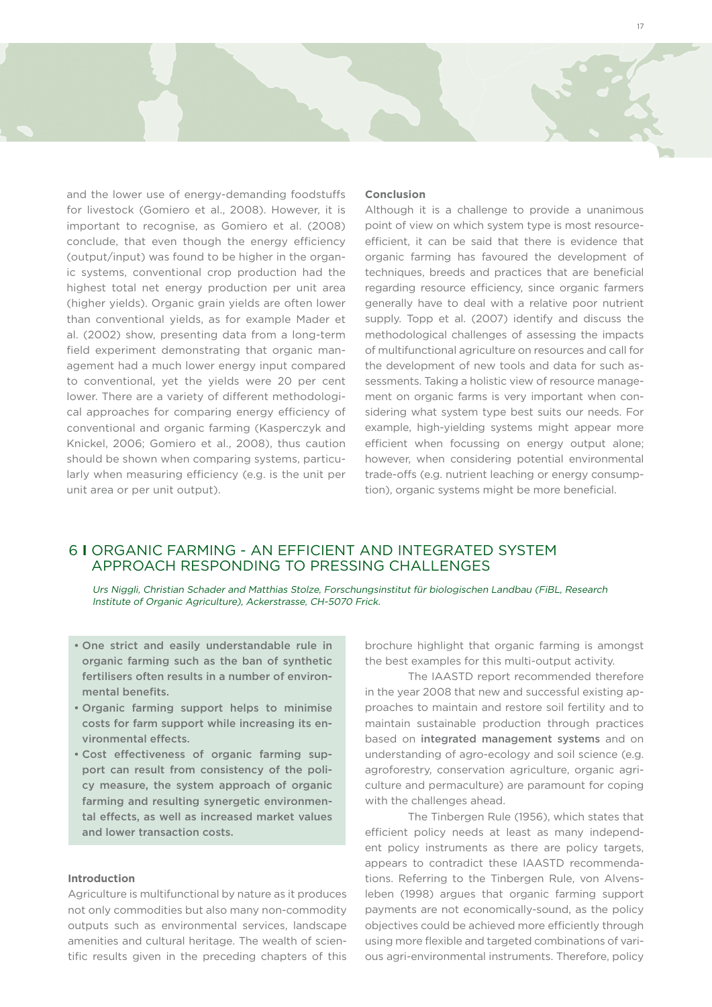and the lower use of energy-demanding foodstuffs for livestock (Gomiero et al., 2008). However, it is important to recognise, as Gomiero et al. (2008) conclude, that even though the energy efficiency (output/input) was found to be higher in the organic systems, conventional crop production had the highest total net energy production per unit area (higher yields). Organic grain yields are often lower than conventional yields, as for example Mader et al. (2002) show, presenting data from a long-term field experiment demonstrating that organic management had a much lower energy input compared to conventional, yet the yields were 20 per cent lower. There are a variety of different methodological approaches for comparing energy efficiency of conventional and organic farming (Kasperczyk and Knickel, 2006; Gomiero et al., 2008), thus caution should be shown when comparing systems, particularly when measuring efficiency (e.g. is the unit per unit area or per unit output).

#### **Conclusion**

Although it is a challenge to provide a unanimous point of view on which system type is most resourceefficient, it can be said that there is evidence that organic farming has favoured the development of techniques, breeds and practices that are beneficial regarding resource efficiency, since organic farmers generally have to deal with a relative poor nutrient supply. Topp et al. (2007) identify and discuss the methodological challenges of assessing the impacts of multifunctional agriculture on resources and call for the development of new tools and data for such assessments. Taking a holistic view of resource management on organic farms is very important when considering what system type best suits our needs. For example, high-yielding systems might appear more efficient when focussing on energy output alone; however, when considering potential environmental trade-offs (e.g. nutrient leaching or energy consumption), organic systems might be more beneficial.

# 6 **I** ORGANIC FARMING - AN EFFICIENT AND INTEGRATED SYSTEM APPROACH RESPONDING TO PRESSING CHALLENGES

Urs Niggli, Christian Schader and Matthias Stolze, Forschungsinstitut für biologischen Landbau (FiBL, Research Institute of Organic Agriculture), Ackerstrasse, CH-5070 Frick.

- • One strict and easily understandable rule in organic farming such as the ban of synthetic fertilisers often results in a number of environmental benefits.
- • Organic farming support helps to minimise costs for farm support while increasing its environmental effects.
- • Cost effectiveness of organic farming support can result from consistency of the policy measure, the system approach of organic farming and resulting synergetic environmental effects, as well as increased market values and lower transaction costs.

#### **Introduction**

Agriculture is multifunctional by nature as it produces not only commodities but also many non-commodity outputs such as environmental services, landscape amenities and cultural heritage. The wealth of scientific results given in the preceding chapters of this

brochure highlight that organic farming is amongst the best examples for this multi-output activity.

The IAASTD report recommended therefore in the year 2008 that new and successful existing approaches to maintain and restore soil fertility and to maintain sustainable production through practices based on integrated management systems and on understanding of agro-ecology and soil science (e.g. agroforestry, conservation agriculture, organic agriculture and permaculture) are paramount for coping with the challenges ahead.

The Tinbergen Rule (1956), which states that efficient policy needs at least as many independent policy instruments as there are policy targets, appears to contradict these IAASTD recommendations. Referring to the Tinbergen Rule, von Alvensleben (1998) argues that organic farming support payments are not economically-sound, as the policy objectives could be achieved more efficiently through using more flexible and targeted combinations of various agri-environmental instruments. Therefore, policy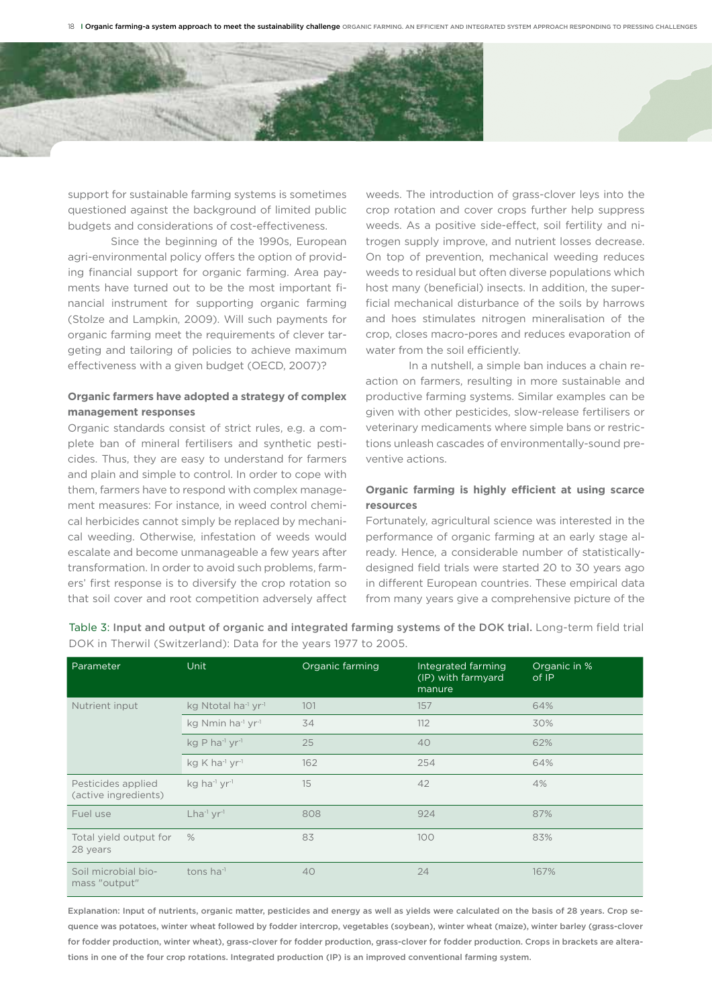

support for sustainable farming systems is sometimes questioned against the background of limited public budgets and considerations of cost-effectiveness.

Since the beginning of the 1990s, European agri-environmental policy offers the option of providing financial support for organic farming. Area payments have turned out to be the most important financial instrument for supporting organic farming (Stolze and Lampkin, 2009). Will such payments for organic farming meet the requirements of clever targeting and tailoring of policies to achieve maximum effectiveness with a given budget (OECD, 2007)?

## **Organic farmers have adopted a strategy of complex management responses**

Organic standards consist of strict rules, e.g. a complete ban of mineral fertilisers and synthetic pesticides. Thus, they are easy to understand for farmers and plain and simple to control. In order to cope with them, farmers have to respond with complex management measures: For instance, in weed control chemical herbicides cannot simply be replaced by mechanical weeding. Otherwise, infestation of weeds would escalate and become unmanageable a few years after transformation. In order to avoid such problems, farmers' first response is to diversify the crop rotation so that soil cover and root competition adversely affect weeds. The introduction of grass-clover leys into the crop rotation and cover crops further help suppress weeds. As a positive side-effect, soil fertility and nitrogen supply improve, and nutrient losses decrease. On top of prevention, mechanical weeding reduces weeds to residual but often diverse populations which host many (beneficial) insects. In addition, the superficial mechanical disturbance of the soils by harrows and hoes stimulates nitrogen mineralisation of the crop, closes macro-pores and reduces evaporation of water from the soil efficiently.

 In a nutshell, a simple ban induces a chain reaction on farmers, resulting in more sustainable and productive farming systems. Similar examples can be given with other pesticides, slow-release fertilisers or veterinary medicaments where simple bans or restrictions unleash cascades of environmentally-sound preventive actions.

## **Organic farming is highly efficient at using scarce resources**

Fortunately, agricultural science was interested in the performance of organic farming at an early stage already. Hence, a considerable number of statisticallydesigned field trials were started 20 to 30 years ago in different European countries. These empirical data from many years give a comprehensive picture of the

| Parameter                                  | Unit                                        | Organic farming | Integrated farming<br>(IP) with farmyard<br>manure | Organic in %<br>of IP |
|--------------------------------------------|---------------------------------------------|-----------------|----------------------------------------------------|-----------------------|
| Nutrient input                             | kg Ntotal ha <sup>-1</sup> yr <sup>-1</sup> | 101             | 157                                                | 64%                   |
|                                            | kg Nmin ha <sup>-1</sup> yr <sup>-1</sup>   | 34              | 112                                                | 30%                   |
|                                            | kg P ha <sup>-1</sup> yr <sup>-1</sup>      | 25              | 40                                                 | 62%                   |
|                                            | kg K ha <sup>-1</sup> yr <sup>-1</sup>      | 162             | 254                                                | 64%                   |
| Pesticides applied<br>(active ingredients) | kg ha <sup>-1</sup> yr <sup>-1</sup>        | 15              | 42                                                 | 4%                    |
| Fuel use                                   | $Lha^{-1}$ yr-1                             | 808             | 924                                                | 87%                   |
| Total yield output for<br>28 years         | $\%$                                        | 83              | 100                                                | 83%                   |
| Soil microbial bio-<br>mass "output"       | tons ha $^{-1}$                             | 40              | 24                                                 | 167%                  |

Table 3: Input and output of organic and integrated farming systems of the DOK trial. Long-term field trial DOK in Therwil (Switzerland): Data for the years 1977 to 2005.

Explanation: Input of nutrients, organic matter, pesticides and energy as well as yields were calculated on the basis of 28 years. Crop sequence was potatoes, winter wheat followed by fodder intercrop, vegetables (soybean), winter wheat (maize), winter barley (grass-clover for fodder production, winter wheat), grass-clover for fodder production, grass-clover for fodder production. Crops in brackets are alterations in one of the four crop rotations. Integrated production (IP) is an improved conventional farming system.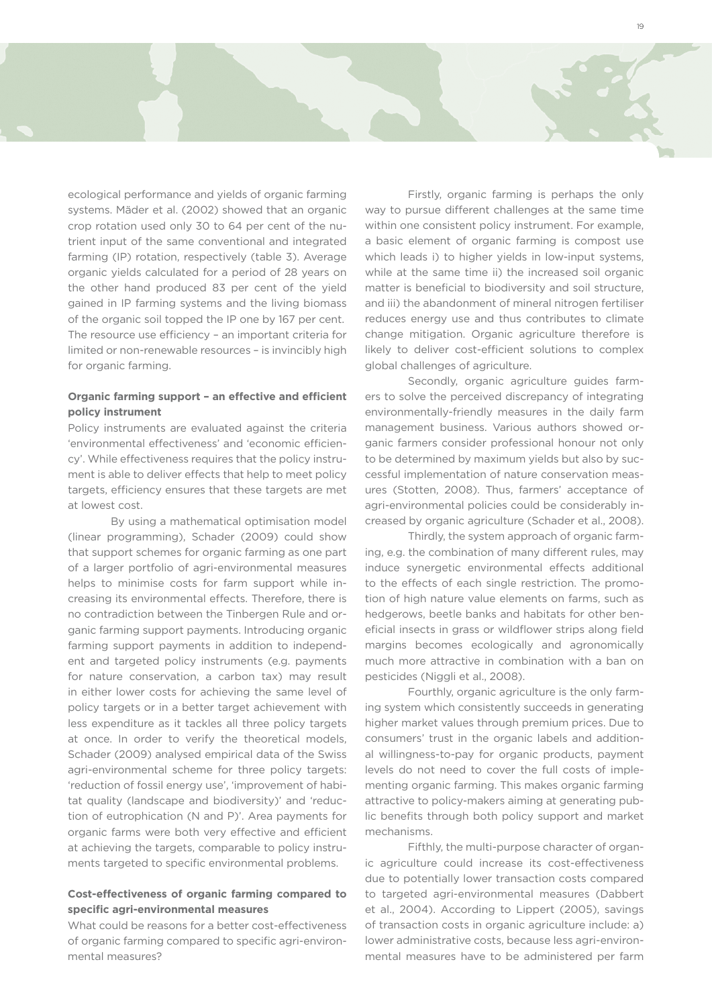ecological performance and yields of organic farming systems. Mäder et al. (2002) showed that an organic crop rotation used only 30 to 64 per cent of the nutrient input of the same conventional and integrated farming (IP) rotation, respectively (table 3). Average organic yields calculated for a period of 28 years on the other hand produced 83 per cent of the yield gained in IP farming systems and the living biomass of the organic soil topped the IP one by 167 per cent. The resource use efficiency – an important criteria for limited or non-renewable resources – is invincibly high for organic farming.

## **Organic farming support – an effective and efficient policy instrument**

Policy instruments are evaluated against the criteria 'environmental effectiveness' and 'economic efficiency'. While effectiveness requires that the policy instrument is able to deliver effects that help to meet policy targets, efficiency ensures that these targets are met at lowest cost.

By using a mathematical optimisation model (linear programming), Schader (2009) could show that support schemes for organic farming as one part of a larger portfolio of agri-environmental measures helps to minimise costs for farm support while increasing its environmental effects. Therefore, there is no contradiction between the Tinbergen Rule and organic farming support payments. Introducing organic farming support payments in addition to independent and targeted policy instruments (e.g. payments for nature conservation, a carbon tax) may result in either lower costs for achieving the same level of policy targets or in a better target achievement with less expenditure as it tackles all three policy targets at once. In order to verify the theoretical models, Schader (2009) analysed empirical data of the Swiss agri-environmental scheme for three policy targets: 'reduction of fossil energy use', 'improvement of habitat quality (landscape and biodiversity)' and 'reduction of eutrophication (N and P)'. Area payments for organic farms were both very effective and efficient at achieving the targets, comparable to policy instruments targeted to specific environmental problems.

## **Cost-effectiveness of organic farming compared to specific agri-environmental measures**

What could be reasons for a better cost-effectiveness of organic farming compared to specific agri-environmental measures?

 Firstly, organic farming is perhaps the only way to pursue different challenges at the same time within one consistent policy instrument. For example, a basic element of organic farming is compost use which leads i) to higher yields in low-input systems, while at the same time ii) the increased soil organic matter is beneficial to biodiversity and soil structure, and iii) the abandonment of mineral nitrogen fertiliser reduces energy use and thus contributes to climate change mitigation. Organic agriculture therefore is likely to deliver cost-efficient solutions to complex global challenges of agriculture.

Secondly, organic agriculture guides farmers to solve the perceived discrepancy of integrating environmentally-friendly measures in the daily farm management business. Various authors showed organic farmers consider professional honour not only to be determined by maximum yields but also by successful implementation of nature conservation measures (Stotten, 2008). Thus, farmers' acceptance of agri-environmental policies could be considerably increased by organic agriculture (Schader et al., 2008).

Thirdly, the system approach of organic farming, e.g. the combination of many different rules, may induce synergetic environmental effects additional to the effects of each single restriction. The promotion of high nature value elements on farms, such as hedgerows, beetle banks and habitats for other beneficial insects in grass or wildflower strips along field margins becomes ecologically and agronomically much more attractive in combination with a ban on pesticides (Niggli et al., 2008).

 Fourthly, organic agriculture is the only farming system which consistently succeeds in generating higher market values through premium prices. Due to consumers' trust in the organic labels and additional willingness-to-pay for organic products, payment levels do not need to cover the full costs of implementing organic farming. This makes organic farming attractive to policy-makers aiming at generating public benefits through both policy support and market mechanisms.

 Fifthly, the multi-purpose character of organic agriculture could increase its cost-effectiveness due to potentially lower transaction costs compared to targeted agri-environmental measures (Dabbert et al., 2004). According to Lippert (2005), savings of transaction costs in organic agriculture include: a) lower administrative costs, because less agri-environmental measures have to be administered per farm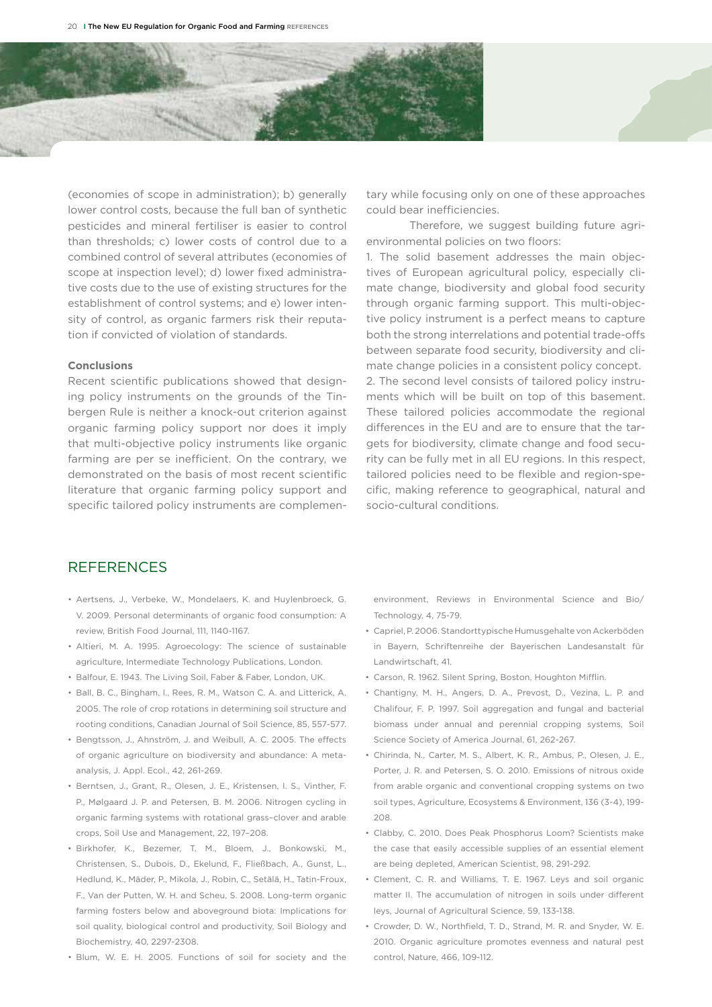

(economies of scope in administration); b) generally lower control costs, because the full ban of synthetic pesticides and mineral fertiliser is easier to control than thresholds; c) lower costs of control due to a combined control of several attributes (economies of scope at inspection level); d) lower fixed administrative costs due to the use of existing structures for the establishment of control systems; and e) lower intensity of control, as organic farmers risk their reputation if convicted of violation of standards.

#### **Conclusions**

Recent scientific publications showed that designing policy instruments on the grounds of the Tinbergen Rule is neither a knock-out criterion against organic farming policy support nor does it imply that multi-objective policy instruments like organic farming are per se inefficient. On the contrary, we demonstrated on the basis of most recent scientific literature that organic farming policy support and specific tailored policy instruments are complemen-

tary while focusing only on one of these approaches could bear inefficiencies.

Therefore, we suggest building future agrienvironmental policies on two floors:

1. The solid basement addresses the main objectives of European agricultural policy, especially climate change, biodiversity and global food security through organic farming support. This multi-objective policy instrument is a perfect means to capture both the strong interrelations and potential trade-offs between separate food security, biodiversity and climate change policies in a consistent policy concept. 2. The second level consists of tailored policy instruments which will be built on top of this basement. These tailored policies accommodate the regional differences in the EU and are to ensure that the targets for biodiversity, climate change and food security can be fully met in all EU regions. In this respect, tailored policies need to be flexible and region-specific, making reference to geographical, natural and socio-cultural conditions.

# REFERENCES

- • Aertsens, J., Verbeke, W., Mondelaers, K. and Huylenbroeck, G. V. 2009. Personal determinants of organic food consumption: A review, British Food Journal, 111, 1140-1167.
- • Altieri, M. A. 1995. Agroecology: The science of sustainable agriculture, Intermediate Technology Publications, London.
- Balfour, E. 1943. The Living Soil, Faber & Faber, London, UK.
- • Ball, B. C., Bingham, I., Rees, R. M., Watson C. A. and Litterick, A. 2005. The role of crop rotations in determining soil structure and rooting conditions, Canadian Journal of Soil Science, 85, 557-577.
- • Bengtsson, J., Ahnström, J. and Weibull, A. C. 2005. The effects of organic agriculture on biodiversity and abundance: A metaanalysis, J. Appl. Ecol., 42, 261-269.
- • Berntsen, J., Grant, R., Olesen, J. E., Kristensen, I. S., Vinther, F. P., Mølgaard J. P. and Petersen, B. M. 2006. Nitrogen cycling in organic farming systems with rotational grass–clover and arable crops, Soil Use and Management, 22, 197–208.
- • Birkhofer, K., Bezemer, T. M., Bloem, J., Bonkowski, M., Christensen, S., Dubois, D., Ekelund, F., Fließbach, A., Gunst, L., Hedlund, K., Mäder, P., Mikola, J., Robin, C., Setälä, H., Tatin-Froux, F., Van der Putten, W. H. and Scheu, S. 2008. Long-term organic farming fosters below and aboveground biota: Implications for soil quality, biological control and productivity, Soil Biology and Biochemistry, 40, 2297-2308.
- • Blum, W. E. H. 2005. Functions of soil for society and the

environment, Reviews in Environmental Science and Bio/ Technology, 4, 75-79.

- • Capriel, P. 2006. Standorttypische Humusgehalte von Ackerböden in Bayern, Schriftenreihe der Bayerischen Landesanstalt für Landwirtschaft, 41.
- • Carson, R. 1962. Silent Spring, Boston, Houghton Mifflin.
- • Chantigny, M. H., Angers, D. A., Prevost, D., Vezina, L. P. and Chalifour, F. P. 1997. Soil aggregation and fungal and bacterial biomass under annual and perennial cropping systems, Soil Science Society of America Journal, 61, 262-267.
- • Chirinda, N., Carter, M. S., Albert, K. R., Ambus, P., Olesen, J. E., Porter, J. R. and Petersen, S. O. 2010. Emissions of nitrous oxide from arable organic and conventional cropping systems on two soil types, Agriculture, Ecosystems & Environment, 136 (3-4), 199- 208.
- • Clabby, C. 2010. Does Peak Phosphorus Loom? Scientists make the case that easily accessible supplies of an essential element are being depleted, American Scientist, 98, 291-292.
- • Clement, C. R. and Williams, T. E. 1967. Leys and soil organic matter II. The accumulation of nitrogen in soils under different leys, Journal of Agricultural Science, 59, 133-138.
- • Crowder, D. W., Northfield, T. D., Strand, M. R. and Snyder, W. E. 2010. Organic agriculture promotes evenness and natural pest control, Nature, 466, 109-112.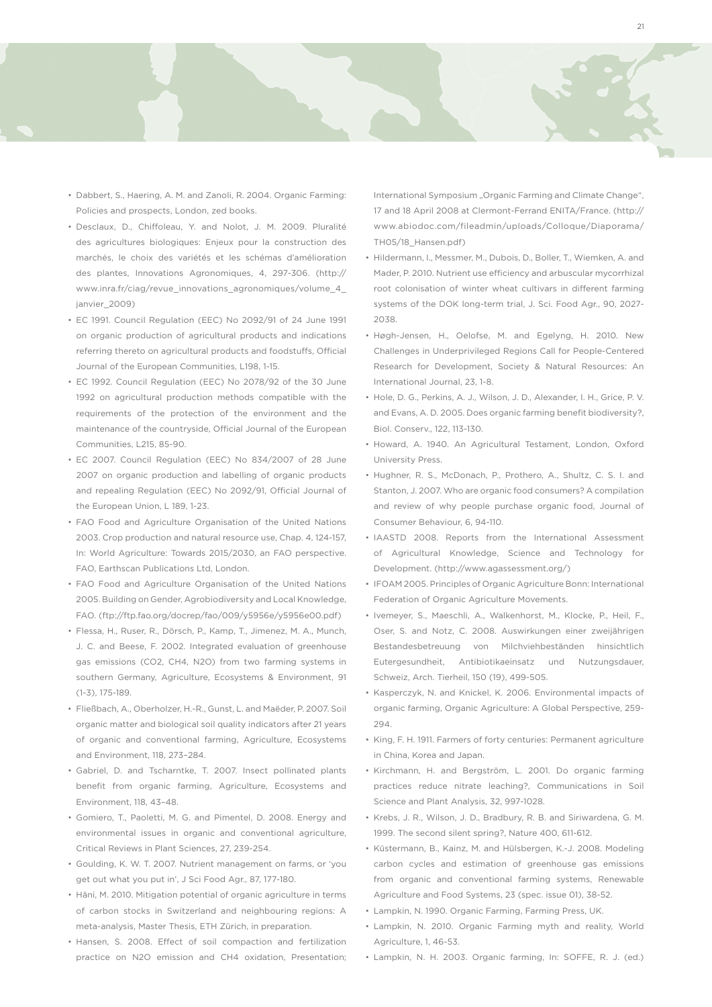

- Dabbert, S., Haering, A. M. and Zanoli, R. 2004. Organic Farming: Policies and prospects, London, zed books.
- • Desclaux, D., Chiffoleau, Y. and Nolot, J. M. 2009. Pluralité des agricultures biologiques: Enjeux pour la construction des marchés, le choix des variétés et les schémas d'amélioration des plantes, Innovations Agronomiques, 4, 297-306. (http:// www.inra.fr/ciag/revue\_innovations\_agronomiques/volume\_4\_ janvier\_2009)
- • EC 1991. Council Regulation (EEC) No 2092/91 of 24 June 1991 on organic production of agricultural products and indications referring thereto on agricultural products and foodstuffs, Official Journal of the European Communities, L198, 1-15.
- EC 1992. Council Regulation (EEC) No 2078/92 of the 30 June 1992 on agricultural production methods compatible with the requirements of the protection of the environment and the maintenance of the countryside, Official Journal of the European Communities, L215, 85-90.
- • EC 2007. Council Regulation (EEC) No 834/2007 of 28 June 2007 on organic production and labelling of organic products and repealing Regulation (EEC) No 2092/91, Official Journal of the European Union, L 189, 1-23.
- FAO Food and Agriculture Organisation of the United Nations 2003. Crop production and natural resource use, Chap. 4, 124-157, In: World Agriculture: Towards 2015/2030, an FAO perspective. FAO, Earthscan Publications Ltd, London.
- FAO Food and Agriculture Organisation of the United Nations 2005. Building on Gender, Agrobiodiversity and Local Knowledge, FAO. (ftp://ftp.fao.org/docrep/fao/009/y5956e/y5956e00.pdf)
- • Flessa, H., Ruser, R., Dörsch, P., Kamp, T., Jimenez, M. A., Munch, J. C. and Beese, F. 2002. Integrated evaluation of greenhouse gas emissions (CO2, CH4, N2O) from two farming systems in southern Germany, Agriculture, Ecosystems & Environment, 91  $(1-3)$ , 175-189.
- • Fließbach, A., Oberholzer, H.-R., Gunst, L. and Maëder, P. 2007. Soil organic matter and biological soil quality indicators after 21 years of organic and conventional farming, Agriculture, Ecosystems and Environment, 118, 273-284
- • Gabriel, D. and Tscharntke, T. 2007. Insect pollinated plants benefit from organic farming, Agriculture, Ecosystems and Environment, 118, 43–48.
- • Gomiero, T., Paoletti, M. G. and Pimentel, D. 2008. Energy and environmental issues in organic and conventional agriculture, Critical Reviews in Plant Sciences, 27, 239-254.
- • Goulding, K. W. T. 2007. Nutrient management on farms, or 'you get out what you put in', J Sci Food Agr., 87, 177-180.
- • Häni, M. 2010. Mitigation potential of organic agriculture in terms of carbon stocks in Switzerland and neighbouring regions: A meta-analysis, Master Thesis, ETH Zürich, in preparation.
- Hansen, S. 2008. Effect of soil compaction and fertilization practice on N2O emission and CH4 oxidation, Presentation;

International Symposium "Organic Farming and Climate Change", 17 and 18 April 2008 at Clermont-Ferrand ENITA/France. (http:// www.abiodoc.com/fileadmin/uploads/Colloque/Diaporama/ TH05/18\_Hansen.pdf)

21

- • Hildermann, I., Messmer, M., Dubois, D., Boller, T., Wiemken, A. and Mader, P. 2010. Nutrient use efficiency and arbuscular mycorrhizal root colonisation of winter wheat cultivars in different farming systems of the DOK long-term trial, J. Sci. Food Agr., 90, 2027- 2038.
- • Høgh-Jensen, H., Oelofse, M. and Egelyng, H. 2010. New Challenges in Underprivileged Regions Call for People-Centered Research for Development, Society & Natural Resources: An International Journal, 23, 1-8.
- • Hole, D. G., Perkins, A. J., Wilson, J. D., Alexander, I. H., Grice, P. V. and Evans, A. D. 2005. Does organic farming benefit biodiversity?, Biol. Conserv., 122, 113-130.
- Howard, A. 1940. An Agricultural Testament, London, Oxford University Press.
- Hughner, R. S., McDonach, P., Prothero, A., Shultz, C. S. I. and Stanton, J. 2007. Who are organic food consumers? A compilation and review of why people purchase organic food, Journal of Consumer Behaviour, 6, 94-110
- IAASTD 2008. Reports from the International Assessment of Agricultural Knowledge, Science and Technology for Development. (http://www.agassessment.org/)
- IFOAM 2005. Principles of Organic Agriculture Bonn: International Federation of Organic Agriculture Movements.
- • Ivemeyer, S., Maeschli, A., Walkenhorst, M., Klocke, P., Heil, F., Oser, S. and Notz, C. 2008. Auswirkungen einer zweijährigen Bestandesbetreuung von Milchviehbeständen hinsichtlich Eutergesundheit, Antibiotikaeinsatz und Nutzungsdauer, Schweiz, Arch. Tierheil, 150 (19), 499-505.
- • Kasperczyk, N. and Knickel, K. 2006. Environmental impacts of organic farming, Organic Agriculture: A Global Perspective, 259- 294.
- • King, F. H. 1911. Farmers of forty centuries: Permanent agriculture in China, Korea and Japan.
- • Kirchmann, H. and Bergström, L. 2001. Do organic farming practices reduce nitrate leaching?, Communications in Soil Science and Plant Analysis, 32, 997-1028.
- • Krebs, J. R., Wilson, J. D., Bradbury, R. B. and Siriwardena, G. M. 1999. The second silent spring?, Nature 400, 611-612.
- • Küstermann, B., Kainz, M. and Hülsbergen, K.-J. 2008. Modeling carbon cycles and estimation of greenhouse gas emissions from organic and conventional farming systems, Renewable Agriculture and Food Systems, 23 (spec. issue 01), 38-52.
- • Lampkin, N. 1990. Organic Farming, Farming Press, UK.
- • Lampkin, N. 2010. Organic Farming myth and reality, World Agriculture, 1, 46-53.
- • Lampkin, N. H. 2003. Organic farming, In: SOFFE, R. J. (ed.)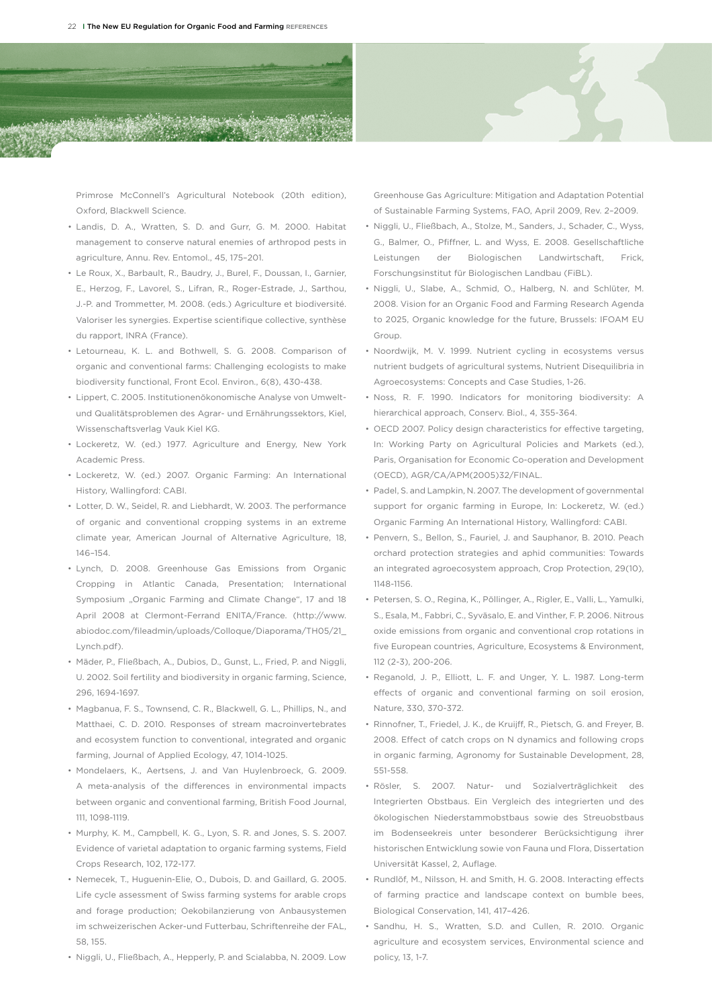

Primrose McConnell's Agricultural Notebook (20th edition), Oxford, Blackwell Science.

- • Landis, D. A., Wratten, S. D. and Gurr, G. M. 2000. Habitat management to conserve natural enemies of arthropod pests in agriculture, Annu. Rev. Entomol., 45, 175–201.
- • Le Roux, X., Barbault, R., Baudry, J., Burel, F., Doussan, I., Garnier, E., Herzog, F., Lavorel, S., Lifran, R., Roger-Estrade, J., Sarthou, J.-P. and Trommetter, M. 2008. (eds.) Agriculture et biodiversité. Valoriser les synergies. Expertise scientifique collective, synthèse du rapport, INRA (France).
- • Letourneau, K. L. and Bothwell, S. G. 2008. Comparison of organic and conventional farms: Challenging ecologists to make biodiversity functional, Front Ecol. Environ., 6(8), 430-438.
- • Lippert, C. 2005. Institutionenökonomische Analyse von Umweltund Qualitätsproblemen des Agrar- und Ernährungssektors, Kiel, Wissenschaftsverlag Vauk Kiel KG.
- • Lockeretz, W. (ed.) 1977. Agriculture and Energy, New York Academic Press.
- • Lockeretz, W. (ed.) 2007. Organic Farming: An International History, Wallingford: CABI.
- • Lotter, D. W., Seidel, R. and Liebhardt, W. 2003. The performance of organic and conventional cropping systems in an extreme climate year, American Journal of Alternative Agriculture, 18, 146–154.
- • Lynch, D. 2008. Greenhouse Gas Emissions from Organic Cropping in Atlantic Canada, Presentation; International Symposium "Organic Farming and Climate Change", 17 and 18 April 2008 at Clermont-Ferrand ENITA/France. (http://www. abiodoc.com/fileadmin/uploads/Colloque/Diaporama/TH05/21\_ Lynch.pdf).
- Mäder, P., Fließbach, A., Dubios, D., Gunst, L., Fried, P. and Niggli, U. 2002. Soil fertility and biodiversity in organic farming, Science, 296, 1694-1697.
- • Magbanua, F. S., Townsend, C. R., Blackwell, G. L., Phillips, N., and Matthaei, C. D. 2010. Responses of stream macroinvertebrates and ecosystem function to conventional, integrated and organic farming, Journal of Applied Ecology, 47, 1014-1025.
- • Mondelaers, K., Aertsens, J. and Van Huylenbroeck, G. 2009. A meta-analysis of the differences in environmental impacts between organic and conventional farming, British Food Journal, 111, 1098-1119.
- Murphy, K. M., Campbell, K. G., Lyon, S. R. and Jones, S. S. 2007. Evidence of varietal adaptation to organic farming systems, Field Crops Research, 102, 172-177.
- Nemecek, T., Huguenin-Elie, O., Dubois, D. and Gaillard, G. 2005. Life cycle assessment of Swiss farming systems for arable crops and forage production; Oekobilanzierung von Anbausystemen im schweizerischen Acker-und Futterbau, Schriftenreihe der FAL, 58, 155.
- • Niggli, U., Fließbach, A., Hepperly, P. and Scialabba, N. 2009. Low

Greenhouse Gas Agriculture: Mitigation and Adaptation Potential of Sustainable Farming Systems, FAO, April 2009, Rev. 2–2009.

- • Niggli, U., Fließbach, A., Stolze, M., Sanders, J., Schader, C., Wyss, G., Balmer, O., Pfiffner, L. and Wyss, E. 2008. Gesellschaftliche Leistungen der Biologischen Landwirtschaft, Frick, Forschungsinstitut für Biologischen Landbau (FiBL).
- • Niggli, U., Slabe, A., Schmid, O., Halberg, N. and Schlüter, M. 2008. Vision for an Organic Food and Farming Research Agenda to 2025, Organic knowledge for the future, Brussels: IFOAM EU Group.
- • Noordwijk, M. V. 1999. Nutrient cycling in ecosystems versus nutrient budgets of agricultural systems, Nutrient Disequilibria in Agroecosystems: Concepts and Case Studies, 1-26.
- • Noss, R. F. 1990. Indicators for monitoring biodiversity: A hierarchical approach, Conserv. Biol., 4, 355-364.
- OECD 2007. Policy design characteristics for effective targeting, In: Working Party on Agricultural Policies and Markets (ed.), Paris, Organisation for Economic Co-operation and Development (OECD), AGR/CA/APM(2005)32/FINAL.
- Padel, S. and Lampkin, N. 2007. The development of governmental support for organic farming in Europe, In: Lockeretz, W. (ed.) Organic Farming An International History, Wallingford: CABI.
- • Penvern, S., Bellon, S., Fauriel, J. and Sauphanor, B. 2010. Peach orchard protection strategies and aphid communities: Towards an integrated agroecosystem approach, Crop Protection, 29(10), 1148-1156.
- • Petersen, S. O., Regina, K., Pöllinger, A., Rigler, E., Valli, L., Yamulki, S., Esala, M., Fabbri, C., Syväsalo, E. and Vinther, F. P. 2006. Nitrous oxide emissions from organic and conventional crop rotations in five European countries, Agriculture, Ecosystems & Environment, 112 (2-3), 200-206.
- Reganold, J. P., Elliott, L. F. and Unger, Y. L. 1987. Long-term effects of organic and conventional farming on soil erosion, Nature, 330, 370-372.
- • Rinnofner, T., Friedel, J. K., de Kruijff, R., Pietsch, G. and Freyer, B. 2008. Effect of catch crops on N dynamics and following crops in organic farming, Agronomy for Sustainable Development, 28, 551-558.
- • Rösler, S. 2007. Natur- und Sozialverträglichkeit des Integrierten Obstbaus. Ein Vergleich des integrierten und des ökologischen Niederstammobstbaus sowie des Streuobstbaus im Bodenseekreis unter besonderer Berücksichtigung ihrer historischen Entwicklung sowie von Fauna und Flora, Dissertation Universität Kassel, 2, Auflage.
- Rundlöf, M., Nilsson, H. and Smith, H. G. 2008. Interacting effects of farming practice and landscape context on bumble bees, Biological Conservation, 141, 417–426.
- • Sandhu, H. S., Wratten, S.D. and Cullen, R. 2010. Organic agriculture and ecosystem services, Environmental science and policy, 13, 1-7.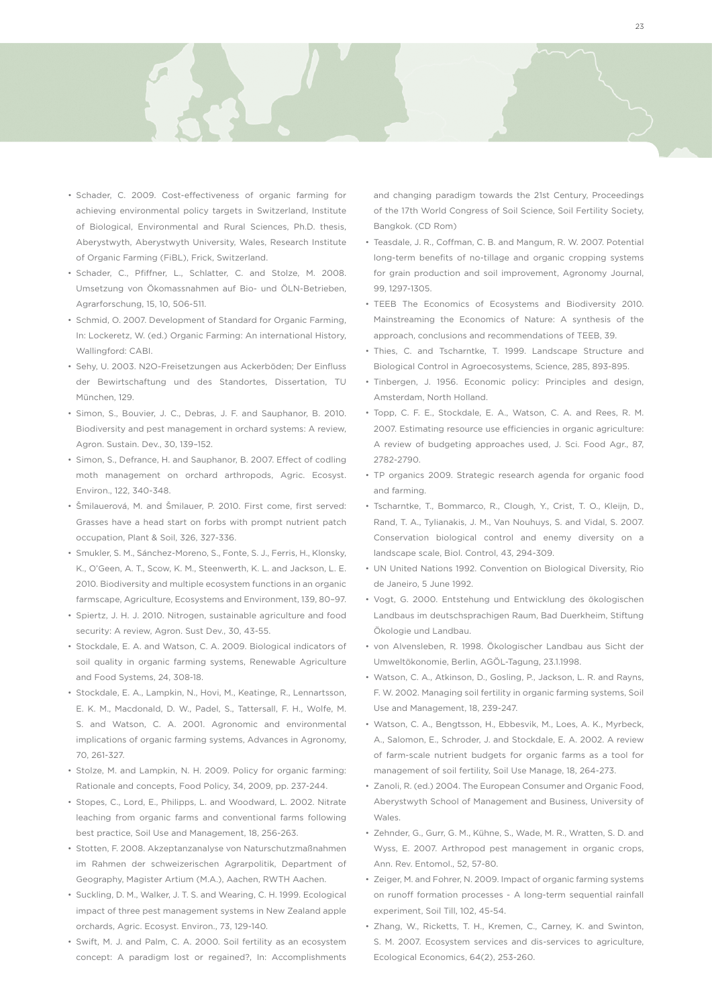



- • Schader, C. 2009. Cost-effectiveness of organic farming for achieving environmental policy targets in Switzerland, Institute of Biological, Environmental and Rural Sciences, Ph.D. thesis, Aberystwyth, Aberystwyth University, Wales, Research Institute of Organic Farming (FiBL), Frick, Switzerland.
- • Schader, C., Pfiffner, L., Schlatter, C. and Stolze, M. 2008. Umsetzung von Ökomassnahmen auf Bio- und ÖLN-Betrieben, Agrarforschung, 15, 10, 506-511.
- • Schmid, O. 2007. Development of Standard for Organic Farming, In: Lockeretz, W. (ed.) Organic Farming: An international History, Wallingford: CABI.
- • Sehy, U. 2003. N2O-Freisetzungen aus Ackerböden; Der Einfluss der Bewirtschaftung und des Standortes, Dissertation, TU München, 129.
- • Simon, S., Bouvier, J. C., Debras, J. F. and Sauphanor, B. 2010. Biodiversity and pest management in orchard systems: A review, Agron. Sustain. Dev., 30, 139–152.
- • Simon, S., Defrance, H. and Sauphanor, B. 2007. Effect of codling moth management on orchard arthropods, Agric. Ecosyst. Environ., 122, 340-348.
- • Šmilauerová, M. and Šmilauer, P. 2010. First come, first served: Grasses have a head start on forbs with prompt nutrient patch occupation, Plant & Soil, 326, 327-336.
- • Smukler, S. M., Sánchez-Moreno, S., Fonte, S. J., Ferris, H., Klonsky, K., O'Geen, A. T., Scow, K. M., Steenwerth, K. L. and Jackson, L. E. 2010. Biodiversity and multiple ecosystem functions in an organic farmscape, Agriculture, Ecosystems and Environment, 139, 80–97.
- • Spiertz, J. H. J. 2010. Nitrogen, sustainable agriculture and food security: A review, Agron. Sust Dev., 30, 43-55.
- Stockdale, E. A. and Watson, C. A. 2009. Biological indicators of soil quality in organic farming systems, Renewable Agriculture and Food Systems, 24, 308-18.
- Stockdale, E. A., Lampkin, N., Hovi, M., Keatinge, R., Lennartsson, E. K. M., Macdonald, D. W., Padel, S., Tattersall, F. H., Wolfe, M. S. and Watson, C. A. 2001. Agronomic and environmental implications of organic farming systems, Advances in Agronomy, 70, 261-327.
- Stolze, M. and Lampkin, N. H. 2009. Policy for organic farming: Rationale and concepts, Food Policy, 34, 2009, pp. 237-244.
- • Stopes, C., Lord, E., Philipps, L. and Woodward, L. 2002. Nitrate leaching from organic farms and conventional farms following best practice, Soil Use and Management, 18, 256-263.
- • Stotten, F. 2008. Akzeptanzanalyse von Naturschutzmaßnahmen im Rahmen der schweizerischen Agrarpolitik, Department of Geography, Magister Artium (M.A.), Aachen, RWTH Aachen.
- • Suckling, D. M., Walker, J. T. S. and Wearing, C. H. 1999. Ecological impact of three pest management systems in New Zealand apple orchards, Agric. Ecosyst. Environ., 73, 129-140.
- • Swift, M. J. and Palm, C. A. 2000. Soil fertility as an ecosystem concept: A paradigm lost or regained?, In: Accomplishments

and changing paradigm towards the 21st Century, Proceedings of the 17th World Congress of Soil Science, Soil Fertility Society, Bangkok. (CD Rom)

- • Teasdale, J. R., Coffman, C. B. and Mangum, R. W. 2007. Potential long-term benefits of no-tillage and organic cropping systems for grain production and soil improvement, Agronomy Journal, 99, 1297-1305.
- TEEB The Economics of Ecosystems and Biodiversity 2010. Mainstreaming the Economics of Nature: A synthesis of the approach, conclusions and recommendations of TEEB, 39.
- Thies, C. and Tscharntke, T. 1999. Landscape Structure and Biological Control in Agroecosystems, Science, 285, 893-895.
- • Tinbergen, J. 1956. Economic policy: Principles and design, Amsterdam, North Holland.
- • Topp, C. F. E., Stockdale, E. A., Watson, C. A. and Rees, R. M. 2007. Estimating resource use efficiencies in organic agriculture: A review of budgeting approaches used, J. Sci. Food Agr., 87, 2782-2790.
- TP organics 2009. Strategic research agenda for organic food and farming.
- • Tscharntke, T., Bommarco, R., Clough, Y., Crist, T. O., Kleijn, D., Rand, T. A., Tylianakis, J. M., Van Nouhuys, S. and Vidal, S. 2007. Conservation biological control and enemy diversity on a landscape scale, Biol. Control, 43, 294-309.
- • UN United Nations 1992. Convention on Biological Diversity, Rio de Janeiro, 5 June 1992.
- • Vogt, G. 2000. Entstehung und Entwicklung des ökologischen Landbaus im deutschsprachigen Raum, Bad Duerkheim, Stiftung Ökologie und Landbau.
- • von Alvensleben, R. 1998. Ökologischer Landbau aus Sicht der Umweltökonomie, Berlin, AGÖL-Tagung, 23.1.1998.
- • Watson, C. A., Atkinson, D., Gosling, P., Jackson, L. R. and Rayns, F. W. 2002. Managing soil fertility in organic farming systems, Soil Use and Management, 18, 239-247.
- • Watson, C. A., Bengtsson, H., Ebbesvik, M., Loes, A. K., Myrbeck, A., Salomon, E., Schroder, J. and Stockdale, E. A. 2002. A review of farm-scale nutrient budgets for organic farms as a tool for management of soil fertility, Soil Use Manage, 18, 264-273.
- • Zanoli, R. (ed.) 2004. The European Consumer and Organic Food, Aberystwyth School of Management and Business, University of Wales.
- • Zehnder, G., Gurr, G. M., Kühne, S., Wade, M. R., Wratten, S. D. and Wyss, E. 2007. Arthropod pest management in organic crops, Ann. Rev. Entomol., 52, 57-80.
- • Zeiger, M. and Fohrer, N. 2009. Impact of organic farming systems on runoff formation processes - A long-term sequential rainfall experiment, Soil Till, 102, 45-54.
- Zhang, W., Ricketts, T. H., Kremen, C., Carney, K. and Swinton, S. M. 2007. Ecosystem services and dis-services to agriculture, Ecological Economics, 64(2), 253-260.